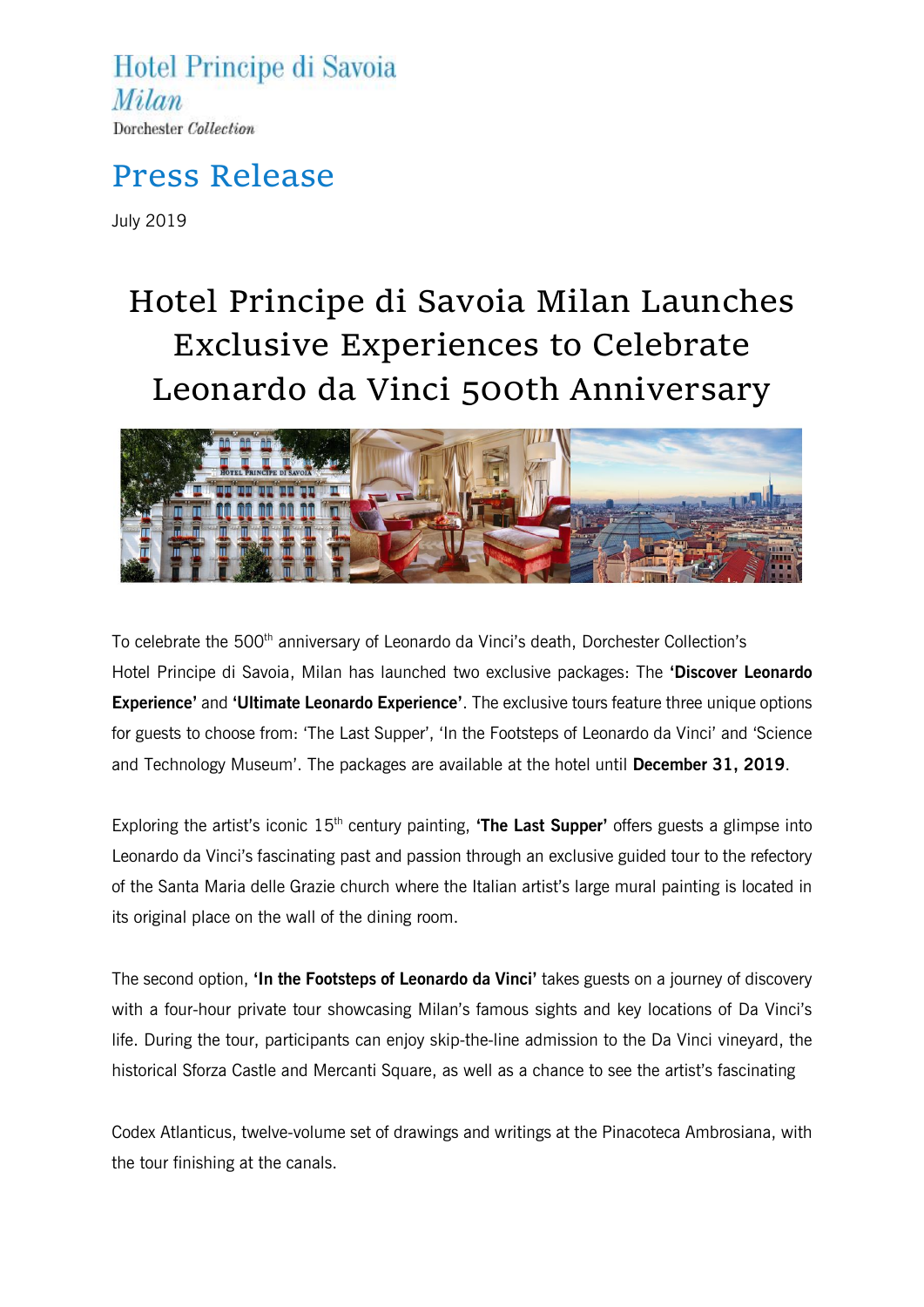Hotel Principe di Savoia Milan Dorchester Collection

### Press Release

July 2019

# Hotel Principe di Savoia Milan Launches Exclusive Experiences to Celebrate Leonardo da Vinci 500th Anniversary



To celebrate the 500<sup>th</sup> anniversary of Leonardo da Vinci's death, Dorchester Collection's Hotel Principe di Savoia, Milan has launched two exclusive packages: The **'Discover Leonardo Experience'** and **'Ultimate Leonardo Experience'**. The exclusive tours feature three unique options for guests to choose from: 'The Last Supper', 'In the Footsteps of Leonardo da Vinci' and 'Science and Technology Museum'. The packages are available at the hotel until **December 31, 2019**.

Exploring the artist's iconic 15<sup>th</sup> century painting, **'The Last Supper'** offers guests a glimpse into Leonardo da Vinci's fascinating past and passion through an exclusive guided tour to the refectory of the Santa Maria delle Grazie church where the Italian artist's large mural painting is located in its original place on the wall of the dining room.

The second option, **'In the Footsteps of Leonardo da Vinci'** takes guests on a journey of discovery with a four-hour private tour showcasing Milan's famous sights and key locations of Da Vinci's life. During the tour, participants can enjoy skip-the-line admission to the Da Vinci vineyard, the historical Sforza Castle and Mercanti Square, as well as a chance to see the artist's fascinating

Codex Atlanticus, twelve-volume set of drawings and writings at the Pinacoteca Ambrosiana, with the tour finishing at the canals.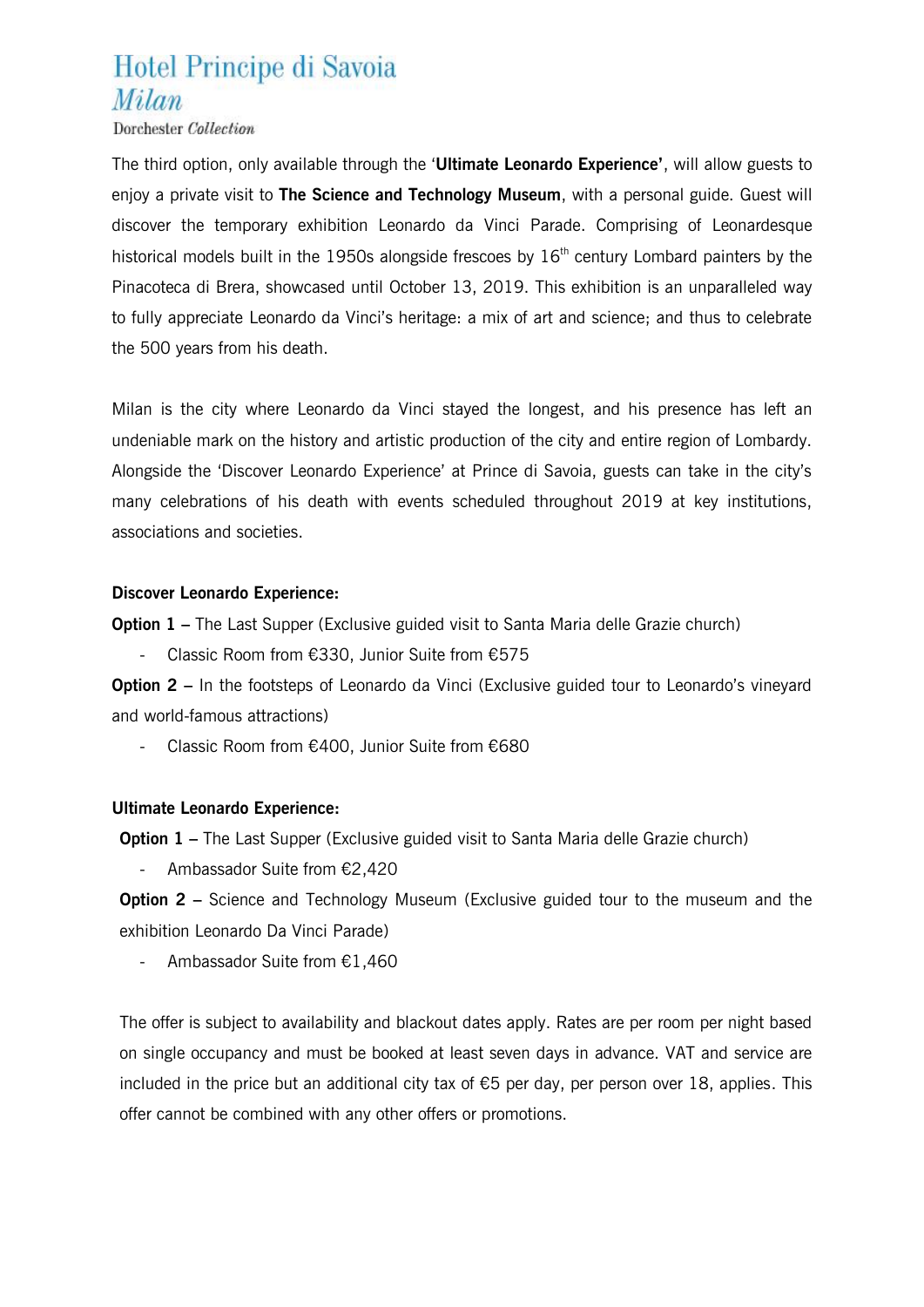## Hotel Principe di Savoia Milan

Dorchester Collection

The third option, only available through the '**Ultimate Leonardo Experience'**, will allow guests to enjoy a private visit to **The Science and Technology Museum**, with a personal guide. Guest will discover the temporary exhibition Leonardo da Vinci Parade. Comprising of Leonardesque historical models built in the 1950s alongside frescoes by  $16<sup>th</sup>$  century Lombard painters by the Pinacoteca di Brera, showcased until October 13, 2019. This exhibition is an unparalleled way to fully appreciate Leonardo da Vinci's heritage: a mix of art and science; and thus to celebrate the 500 years from his death.

Milan is the city where Leonardo da Vinci stayed the longest, and his presence has left an undeniable mark on the history and artistic production of the city and entire region of Lombardy. Alongside the 'Discover Leonardo Experience' at Prince di Savoia, guests can take in the city's many celebrations of his death with events scheduled throughout 2019 at key institutions, associations and societies.

#### **Discover Leonardo Experience:**

**Option 1** – The Last Supper (Exclusive guided visit to Santa Maria delle Grazie church)

- Classic Room from €330, Junior Suite from €575

**Option 2** – In the footsteps of Leonardo da Vinci (Exclusive guided tour to Leonardo's vineyard and world-famous attractions)

- Classic Room from €400, Junior Suite from €680

#### **Ultimate Leonardo Experience:**

**Option 1** – The Last Supper (Exclusive guided visit to Santa Maria delle Grazie church)

Ambassador Suite from €2,420

**Option 2** – Science and Technology Museum (Exclusive guided tour to the museum and the exhibition Leonardo Da Vinci Parade)

- Ambassador Suite from €1,460

The offer is subject to availability and blackout dates apply. Rates are per room per night based on single occupancy and must be booked at least seven days in advance. VAT and service are included in the price but an additional city tax of  $\epsilon$ 5 per day, per person over 18, applies. This offer cannot be combined with any other offers or promotions.